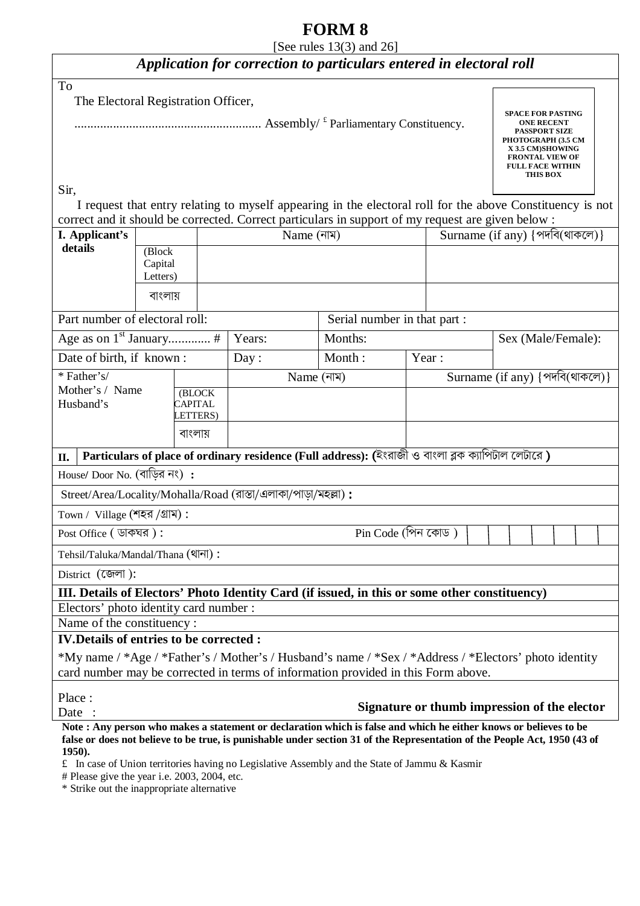# **FORM 8**

[See rules 13(3) and 26]

# *Application for correction to particulars entered in electoral roll*

| To<br>The Electoral Registration Officer,                                    |                                                                                                                                                                                  |         |            |                                                                                                    |                              |                                |                                                                                                           |  |  |
|------------------------------------------------------------------------------|----------------------------------------------------------------------------------------------------------------------------------------------------------------------------------|---------|------------|----------------------------------------------------------------------------------------------------|------------------------------|--------------------------------|-----------------------------------------------------------------------------------------------------------|--|--|
|                                                                              | <b>SPACE FOR PASTING</b><br><b>ONE RECENT</b><br><b>PASSPORT SIZE</b><br>PHOTOGRAPH (3.5 CM<br>X 3.5 CM)SHOWING<br><b>FRONTAL VIEW OF</b><br><b>FULL FACE WITHIN</b><br>THIS BOX |         |            |                                                                                                    |                              |                                |                                                                                                           |  |  |
| Sir.                                                                         |                                                                                                                                                                                  |         |            |                                                                                                    |                              |                                |                                                                                                           |  |  |
|                                                                              |                                                                                                                                                                                  |         |            | correct and it should be corrected. Correct particulars in support of my request are given below : |                              |                                | I request that entry relating to myself appearing in the electoral roll for the above Constituency is not |  |  |
| I. Applicant's                                                               |                                                                                                                                                                                  |         | Name (নাম) |                                                                                                    |                              | Surname (if any) {পদবি(থাকলে)} |                                                                                                           |  |  |
| details                                                                      | (Block<br>Capital<br>Letters)                                                                                                                                                    |         |            |                                                                                                    |                              |                                |                                                                                                           |  |  |
|                                                                              | বাংলায়                                                                                                                                                                          |         |            |                                                                                                    |                              |                                |                                                                                                           |  |  |
| Part number of electoral roll:                                               |                                                                                                                                                                                  |         |            |                                                                                                    | Serial number in that part : |                                |                                                                                                           |  |  |
|                                                                              |                                                                                                                                                                                  |         | Years:     | Months:                                                                                            |                              |                                | Sex (Male/Female):                                                                                        |  |  |
| Date of birth, if known:                                                     |                                                                                                                                                                                  |         | Day:       | Month:                                                                                             |                              | Year:                          |                                                                                                           |  |  |
| * Father's/<br>Mother's / Name<br>(BLOCK<br>Husband's<br>CAPITAL<br>LETTERS) |                                                                                                                                                                                  |         | Name (নাম) |                                                                                                    |                              | Surname (if any) {পদবি(থাকলে)} |                                                                                                           |  |  |
|                                                                              |                                                                                                                                                                                  |         |            |                                                                                                    |                              |                                |                                                                                                           |  |  |
|                                                                              |                                                                                                                                                                                  | বাংলায় |            |                                                                                                    |                              |                                |                                                                                                           |  |  |
| П.                                                                           |                                                                                                                                                                                  |         |            | Particulars of place of ordinary residence (Full address): (ইংরাজী ও বাংলা ব্লক ক্যাপিটাল লেটারে)  |                              |                                |                                                                                                           |  |  |
| $House/$ Door No. (বাড়ির নং) :                                              |                                                                                                                                                                                  |         |            |                                                                                                    |                              |                                |                                                                                                           |  |  |
| Street/Area/Locality/Mohalla/Road (রাস্তা/এলাকা/পাড়া/মহল্লা):               |                                                                                                                                                                                  |         |            |                                                                                                    |                              |                                |                                                                                                           |  |  |
| Town / Village (শহর /গ্রাম):                                                 |                                                                                                                                                                                  |         |            |                                                                                                    |                              |                                |                                                                                                           |  |  |
| Post Office ( ডাকঘর):                                                        |                                                                                                                                                                                  |         |            | $Pin Code (MRT$ কোড)                                                                               |                              |                                |                                                                                                           |  |  |
| Tehsil/Taluka/Mandal/Thana (থানা):                                           |                                                                                                                                                                                  |         |            |                                                                                                    |                              |                                |                                                                                                           |  |  |
| District (জেলা):                                                             |                                                                                                                                                                                  |         |            |                                                                                                    |                              |                                |                                                                                                           |  |  |
|                                                                              |                                                                                                                                                                                  |         |            | III. Details of Electors' Photo Identity Card (if issued, in this or some other constituency)      |                              |                                |                                                                                                           |  |  |
| Electors' photo identity card number :                                       |                                                                                                                                                                                  |         |            |                                                                                                    |                              |                                |                                                                                                           |  |  |
| Name of the constituency :                                                   |                                                                                                                                                                                  |         |            |                                                                                                    |                              |                                |                                                                                                           |  |  |
| <b>IV. Details of entries to be corrected :</b>                              |                                                                                                                                                                                  |         |            |                                                                                                    |                              |                                |                                                                                                           |  |  |
|                                                                              |                                                                                                                                                                                  |         |            | card number may be corrected in terms of information provided in this Form above.                  |                              |                                | *My name / *Age / *Father's / Mother's / Husband's name / *Sex / *Address / *Electors' photo identity     |  |  |
| Place:<br>Date                                                               |                                                                                                                                                                                  |         |            |                                                                                                    |                              |                                | Signature or thumb impression of the elector                                                              |  |  |

**Note : Any person who makes a statement or declaration which is false and which he either knows or believes to be false or does not believe to be true, is punishable under section 31 of the Representation of the People Act, 1950 (43 of 1950).** 

£ In case of Union territories having no Legislative Assembly and the State of Jammu & Kasmir

# Please give the year i.e. 2003, 2004, etc.

\* Strike out the inappropriate alternative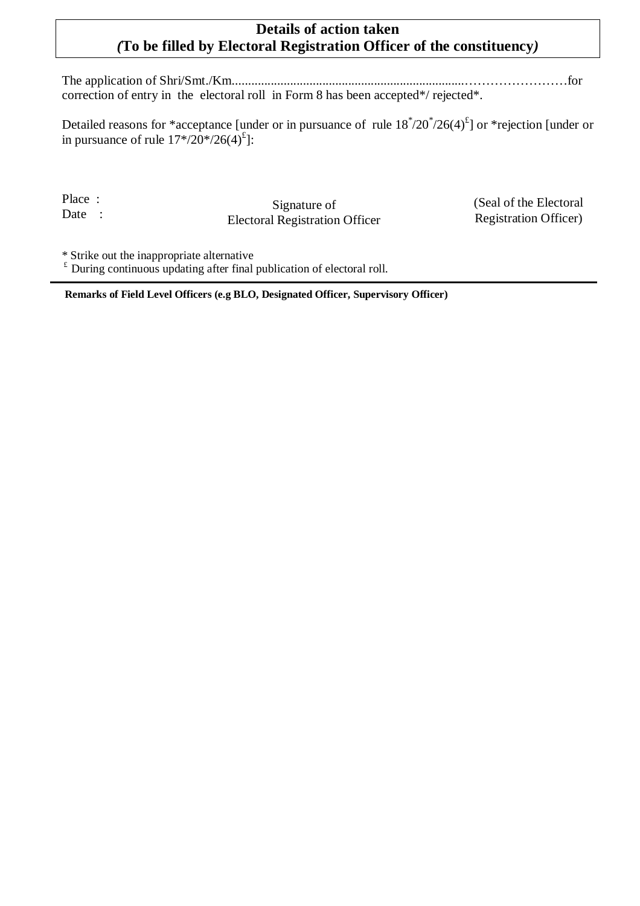## **Details of action taken**  *(***To be filled by Electoral Registration Officer of the constituency***)*

The application of Shri/Smt./Km........................................................................……………………for correction of entry in the electoral roll in Form 8 has been accepted\*/ rejected\*.

Detailed reasons for \*acceptance [under or in pursuance of rule  $18^*/20^*/26(4)^{t}$ ] or \*rejection [under or in pursuance of rule  $17*/20*/26(4)^{2}$ :

Place : Date :

Signature of Electoral Registration Officer (Seal of the Electoral Registration Officer)

\* Strike out the inappropriate alternative

 $E$ <sup>£</sup> During continuous updating after final publication of electoral roll.

**Remarks of Field Level Officers (e.g BLO, Designated Officer, Supervisory Officer)**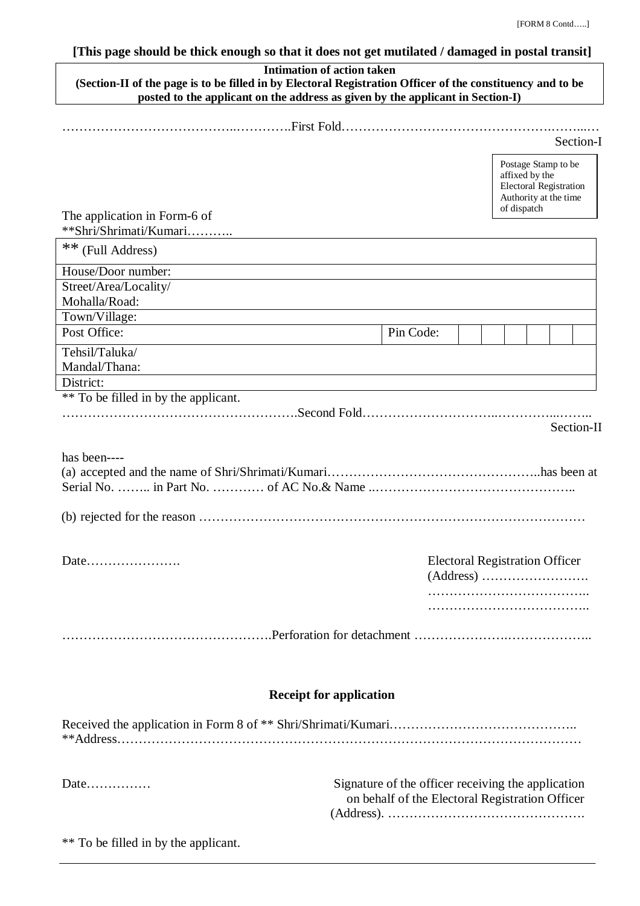### **[This page should be thick enough so that it does not get mutilated / damaged in postal transit]**

## **Intimation of action taken**

| (Section-II of the page is to be filled in by Electoral Registration Officer of the constituency and to be |  |  |  |  |  |  |  |  |  |
|------------------------------------------------------------------------------------------------------------|--|--|--|--|--|--|--|--|--|
| posted to the applicant on the address as given by the applicant in Section-I)                             |  |  |  |  |  |  |  |  |  |
|                                                                                                            |  |  |  |  |  |  |  |  |  |
|                                                                                                            |  |  |  |  |  |  |  |  |  |

|                                                                                                                                                             |                                                                                                                |                                                    |  | Section-I |  |  |            |  |
|-------------------------------------------------------------------------------------------------------------------------------------------------------------|----------------------------------------------------------------------------------------------------------------|----------------------------------------------------|--|-----------|--|--|------------|--|
|                                                                                                                                                             | Postage Stamp to be<br>affixed by the<br><b>Electoral Registration</b><br>Authority at the time<br>of dispatch |                                                    |  |           |  |  |            |  |
| The application in Form-6 of                                                                                                                                |                                                                                                                |                                                    |  |           |  |  |            |  |
| **Shri/Shrimati/Kumari                                                                                                                                      |                                                                                                                |                                                    |  |           |  |  |            |  |
| ** (Full Address)                                                                                                                                           |                                                                                                                |                                                    |  |           |  |  |            |  |
| House/Door number:                                                                                                                                          |                                                                                                                |                                                    |  |           |  |  |            |  |
| Street/Area/Locality/                                                                                                                                       |                                                                                                                |                                                    |  |           |  |  |            |  |
| Mohalla/Road:                                                                                                                                               |                                                                                                                |                                                    |  |           |  |  |            |  |
| Town/Village:                                                                                                                                               |                                                                                                                |                                                    |  |           |  |  |            |  |
| Post Office:                                                                                                                                                |                                                                                                                | Pin Code:                                          |  |           |  |  |            |  |
| Tehsil/Taluka/                                                                                                                                              |                                                                                                                |                                                    |  |           |  |  |            |  |
| Mandal/Thana:                                                                                                                                               |                                                                                                                |                                                    |  |           |  |  |            |  |
| District:                                                                                                                                                   |                                                                                                                |                                                    |  |           |  |  |            |  |
| ** To be filled in by the applicant.                                                                                                                        |                                                                                                                |                                                    |  |           |  |  |            |  |
|                                                                                                                                                             |                                                                                                                |                                                    |  |           |  |  |            |  |
|                                                                                                                                                             |                                                                                                                |                                                    |  |           |  |  | Section-II |  |
|                                                                                                                                                             |                                                                                                                |                                                    |  |           |  |  |            |  |
| has been----                                                                                                                                                |                                                                                                                |                                                    |  |           |  |  |            |  |
|                                                                                                                                                             |                                                                                                                |                                                    |  |           |  |  |            |  |
|                                                                                                                                                             |                                                                                                                |                                                    |  |           |  |  |            |  |
|                                                                                                                                                             |                                                                                                                |                                                    |  |           |  |  |            |  |
| $(b)$ rejected for the reason $\ldots$ $\ldots$ $\ldots$ $\ldots$ $\ldots$ $\ldots$ $\ldots$ $\ldots$ $\ldots$ $\ldots$ $\ldots$ $\ldots$ $\ldots$ $\ldots$ |                                                                                                                |                                                    |  |           |  |  |            |  |
|                                                                                                                                                             |                                                                                                                |                                                    |  |           |  |  |            |  |
|                                                                                                                                                             |                                                                                                                | <b>Electoral Registration Officer</b>              |  |           |  |  |            |  |
|                                                                                                                                                             |                                                                                                                |                                                    |  |           |  |  |            |  |
|                                                                                                                                                             |                                                                                                                |                                                    |  |           |  |  |            |  |
|                                                                                                                                                             |                                                                                                                |                                                    |  |           |  |  |            |  |
|                                                                                                                                                             |                                                                                                                |                                                    |  |           |  |  |            |  |
|                                                                                                                                                             |                                                                                                                |                                                    |  |           |  |  |            |  |
|                                                                                                                                                             |                                                                                                                |                                                    |  |           |  |  |            |  |
|                                                                                                                                                             |                                                                                                                |                                                    |  |           |  |  |            |  |
|                                                                                                                                                             |                                                                                                                |                                                    |  |           |  |  |            |  |
|                                                                                                                                                             | <b>Receipt for application</b>                                                                                 |                                                    |  |           |  |  |            |  |
|                                                                                                                                                             |                                                                                                                |                                                    |  |           |  |  |            |  |
|                                                                                                                                                             |                                                                                                                |                                                    |  |           |  |  |            |  |
|                                                                                                                                                             |                                                                                                                |                                                    |  |           |  |  |            |  |
|                                                                                                                                                             |                                                                                                                |                                                    |  |           |  |  |            |  |
|                                                                                                                                                             |                                                                                                                |                                                    |  |           |  |  |            |  |
| Date                                                                                                                                                        |                                                                                                                | Signature of the officer receiving the application |  |           |  |  |            |  |
|                                                                                                                                                             |                                                                                                                | on behalf of the Electoral Registration Officer    |  |           |  |  |            |  |
|                                                                                                                                                             |                                                                                                                |                                                    |  |           |  |  |            |  |

\*\* To be filled in by the applicant.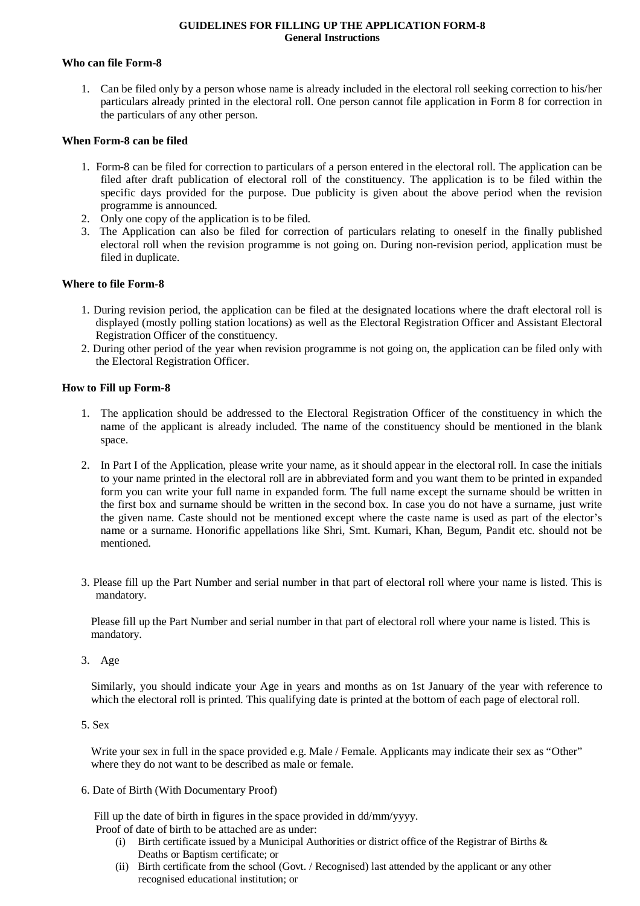#### **GUIDELINES FOR FILLING UP THE APPLICATION FORM-8 General Instructions**

#### **Who can file Form-8**

1. Can be filed only by a person whose name is already included in the electoral roll seeking correction to his/her particulars already printed in the electoral roll. One person cannot file application in Form 8 for correction in the particulars of any other person.

#### **When Form-8 can be filed**

- 1. Form-8 can be filed for correction to particulars of a person entered in the electoral roll. The application can be filed after draft publication of electoral roll of the constituency. The application is to be filed within the specific days provided for the purpose. Due publicity is given about the above period when the revision programme is announced.
- 2. Only one copy of the application is to be filed.
- 3. The Application can also be filed for correction of particulars relating to oneself in the finally published electoral roll when the revision programme is not going on. During non-revision period, application must be filed in duplicate.

#### **Where to file Form-8**

- 1. During revision period, the application can be filed at the designated locations where the draft electoral roll is displayed (mostly polling station locations) as well as the Electoral Registration Officer and Assistant Electoral Registration Officer of the constituency.
- 2. During other period of the year when revision programme is not going on, the application can be filed only with the Electoral Registration Officer.

#### **How to Fill up Form-8**

- 1. The application should be addressed to the Electoral Registration Officer of the constituency in which the name of the applicant is already included. The name of the constituency should be mentioned in the blank space.
- 2. In Part I of the Application, please write your name, as it should appear in the electoral roll. In case the initials to your name printed in the electoral roll are in abbreviated form and you want them to be printed in expanded form you can write your full name in expanded form. The full name except the surname should be written in the first box and surname should be written in the second box. In case you do not have a surname, just write the given name. Caste should not be mentioned except where the caste name is used as part of the elector's name or a surname. Honorific appellations like Shri, Smt. Kumari, Khan, Begum, Pandit etc. should not be mentioned.
- 3. Please fill up the Part Number and serial number in that part of electoral roll where your name is listed. This is mandatory.

Please fill up the Part Number and serial number in that part of electoral roll where your name is listed. This is mandatory.

3. Age

Similarly, you should indicate your Age in years and months as on 1st January of the year with reference to which the electoral roll is printed. This qualifying date is printed at the bottom of each page of electoral roll.

5. Sex

Write your sex in full in the space provided e.g. Male / Female. Applicants may indicate their sex as "Other" where they do not want to be described as male or female.

6. Date of Birth (With Documentary Proof)

 Fill up the date of birth in figures in the space provided in dd/mm/yyyy. Proof of date of birth to be attached are as under:

- (i) Birth certificate issued by a Municipal Authorities or district office of the Registrar of Births & Deaths or Baptism certificate; or
- (ii) Birth certificate from the school (Govt. / Recognised) last attended by the applicant or any other recognised educational institution; or